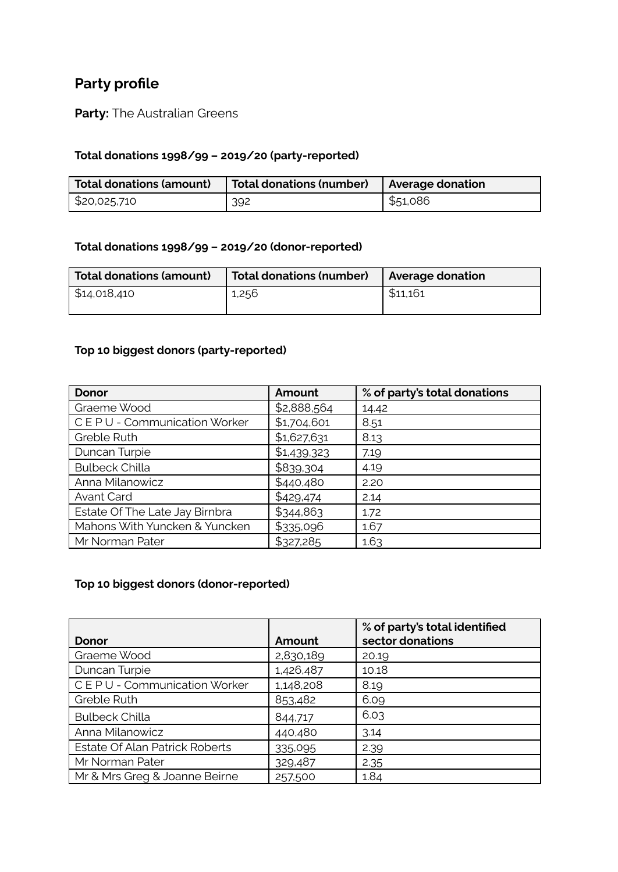# **Party profile**

**Party:** The Australian Greens

### **Total donations 1998/99 – 2019/20 (party-reported)**

| <b>Total donations (amount)</b> | Total donations (number)   Average donation |                   |
|---------------------------------|---------------------------------------------|-------------------|
| \$20,025,710                    | 392                                         | $\frac{551,086}{$ |

### **Total donations 1998/99 – 2019/20 (donor-reported)**

| Total donations (amount) | Total donations (number) | Average donation |
|--------------------------|--------------------------|------------------|
| \$14,018,410             | 1,256                    | \$11,161         |

## **Top 10 biggest donors (party-reported)**

| <b>Donor</b>                   | Amount      | % of party's total donations |
|--------------------------------|-------------|------------------------------|
| Graeme Wood                    | \$2,888,564 | 14.42                        |
| CEPU - Communication Worker    | \$1,704,601 | 8.51                         |
| Greble Ruth                    | \$1,627,631 | 8.13                         |
| Duncan Turpie                  | \$1,439,323 | 7.19                         |
| <b>Bulbeck Chilla</b>          | \$839,304   | 4.19                         |
| Anna Milanowicz                | \$440,480   | 2.20                         |
| <b>Avant Card</b>              | \$429,474   | 2.14                         |
| Estate Of The Late Jay Birnbra | \$344,863   | 1.72                         |
| Mahons With Yuncken & Yuncken  | \$335,096   | 1.67                         |
| Mr Norman Pater                | \$327,285   | 1.63                         |

#### **Top 10 biggest donors (donor-reported)**

|                                       |           | % of party's total identified |
|---------------------------------------|-----------|-------------------------------|
| Donor                                 | Amount    | sector donations              |
| Graeme Wood                           | 2,830,189 | 20.19                         |
| Duncan Turpie                         | 1,426,487 | 10.18                         |
| CEPU - Communication Worker           | 1,148,208 | 8.19                          |
| Greble Ruth                           | 853,482   | 6.09                          |
| <b>Bulbeck Chilla</b>                 | 844,717   | 6.03                          |
| Anna Milanowicz                       | 440,480   | 3.14                          |
| <b>Estate Of Alan Patrick Roberts</b> | 335,095   | 2.39                          |
| Mr Norman Pater                       | 329,487   | 2.35                          |
| Mr & Mrs Greg & Joanne Beirne         | 257,500   | 1.84                          |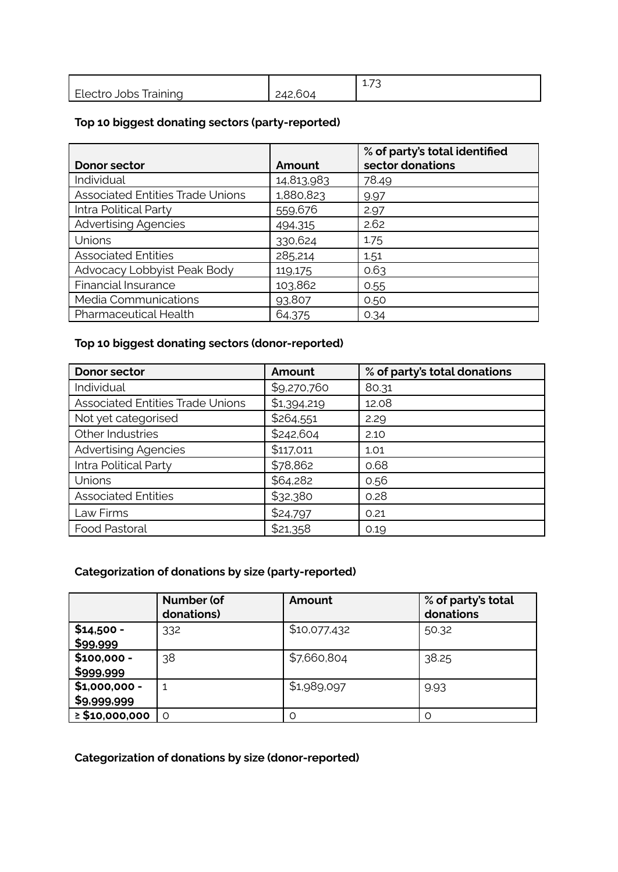|                                                 |                          | $\overline{\phantom{a}}$<br>.<br>∸'∕ آ |
|-------------------------------------------------|--------------------------|----------------------------------------|
| $-$<br><i>raining</i><br><b>Llectro</b><br>JODS | $\sim$<br>つけつ<br>242.604 |                                        |

## **Top 10 biggest donating sectors (party-reported)**

| Donor sector                            | Amount     | % of party's total identified<br>sector donations |
|-----------------------------------------|------------|---------------------------------------------------|
|                                         |            |                                                   |
| Individual                              | 14,813,983 | 78.49                                             |
| <b>Associated Entities Trade Unions</b> | 1,880,823  | 9.97                                              |
| Intra Political Party                   | 559,676    | 2.97                                              |
| <b>Advertising Agencies</b>             | 494,315    | 2.62                                              |
| Unions                                  | 330,624    | 1.75                                              |
| <b>Associated Entities</b>              | 285,214    | 1.51                                              |
| Advocacy Lobbyist Peak Body             | 119,175    | 0.63                                              |
| <b>Financial Insurance</b>              | 103,862    | 0.55                                              |
| Media Communications                    | 93,807     | 0.50                                              |
| Pharmaceutical Health                   | 64,375     | 0.34                                              |

## **Top 10 biggest donating sectors (donor-reported)**

| <b>Donor sector</b>                     | Amount      | % of party's total donations |
|-----------------------------------------|-------------|------------------------------|
| Individual                              | \$9,270,760 | 80.31                        |
| <b>Associated Entities Trade Unions</b> | \$1,394,219 | 12.08                        |
| Not yet categorised                     | \$264,551   | 2.29                         |
| Other Industries                        | \$242,604   | 2.10                         |
| <b>Advertising Agencies</b>             | \$117,011   | 1.01                         |
| Intra Political Party                   | \$78,862    | 0.68                         |
| Unions                                  | \$64,282    | 0.56                         |
| <b>Associated Entities</b>              | \$32,380    | 0.28                         |
| Law Firms                               | \$24,797    | 0.21                         |
| Food Pastoral                           | \$21,358    | 0.19                         |

### **Categorization of donations by size (party-reported)**

|                               | Number (of<br>donations) | Amount       | % of party's total<br>donations |
|-------------------------------|--------------------------|--------------|---------------------------------|
| $$14,500 -$<br>\$99,999       | 332                      | \$10,077,432 | 50.32                           |
| $$100,000 -$<br>\$999,999     | 38                       | \$7,660,804  | 38.25                           |
| $$1,000,000 -$<br>\$9,999,999 |                          | \$1,989,097  | 9.93                            |
| $\geq$ \$10,000,000           | $\Omega$                 | $\Omega$     | ∩                               |

# **Categorization of donations by size (donor-reported)**